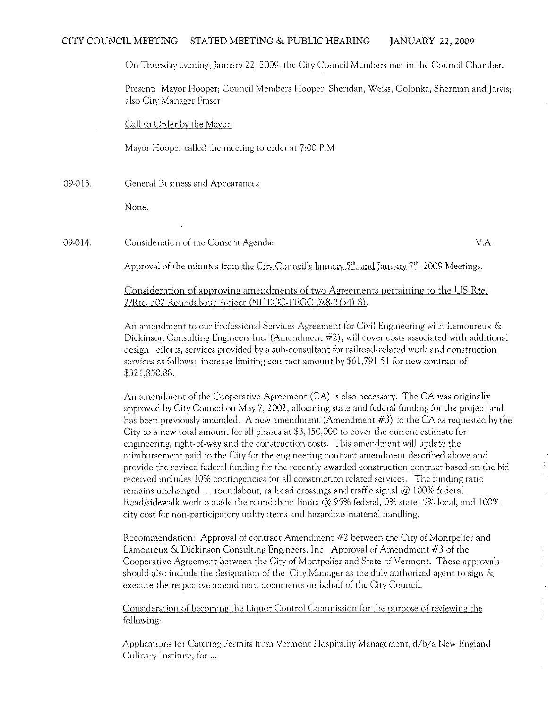# CITY COUNCIL MEETING STATED MEETING & PUBLIC HEARING JANUARY 22, 2009

On Thursday evening, January 22, 2009, the City Council Members met in the Council Chamber.

Present: Mayor Hooper; Council Members Hooper, Sheridan, Weiss, Golonka, Sherman and Jarvis; also City Manager Fraser

Call to Order by the Mayor:

Mayor Hooper called the meeting to order at 7:00 P.M.

09-013. General Business and Appearances

None.

09-014 Consideration of the Consent Agenda: VA

Approval of the minutes from the City Council's January  $5<sup>th</sup>$ , and January  $7<sup>th</sup>$ , 2009 Meetings.

Consideration of approving amendments of two Agreements pertaining to the US Rte. 2/Rte. 302 Roundabout Project (NHEGC-FEGC 028-3(34) S).

An amendment to our Professional Services Agreement for Civil Engineering with Lamoureux & Dickinson Consulting Engineers Inc. (Amendment #2), will cover costs associated with additional design efforts, services provided by a sub-consultant for railroad-related work and construction services as follows: increase limiting contract amount by \$61) 791.51 for new contract of \$321,850.88.

An amendment of the Cooperative Agreement (CA) is also necessary. The CA was originally approved by City Council on May 7,2002, allocating state and federal funding for the project and has been previously amended. A new amendment (Amendment #3) to the CA as requested by the City to a new total amount for all phases at \$3,450,000 to cover the current estimate for engineering, right-of-way and the construction costs. This amendment will update the reimbursement paid to the City for the engineering contract amendment described above and provide the revised federal funding for the recently awarded construction contract based on the bid received includes 10% contingencies for all construction related services. The funding ratio remains unchanged ... roundabout, railroad crossings and traffic signal @ 100% federal. Road/sidewalk work outside the roundabout limits @ 95% federal, 0% state, 5% local, and 100% city cost for non~participatory utility items and hazardous material handling.

Recommendation: Approval of contract Amendment #2 between the City of Montpelier and Lamoureux & Dickinson Consulting Engineers, Inc. Approval of Amendment #3 of the Cooperative Agreement between the City of Montpelier and State of Vermont. These approvals should also include the designation of the City Manager as the duly authorized agent to sign  $\&$ execute the respective amendment documents on behalf of the City Council.

Consideration of becoming the Liquor Control Commission for the purpose of reviewing the follOWing;

Applications for Catering Permits from Vermont Hospitality Management, d/b/a New England Culinary Institute, for ...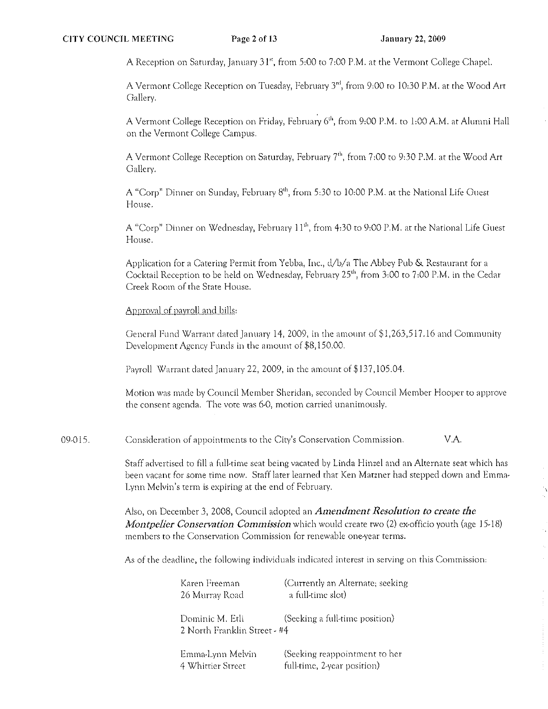Ĵ

A Reception on Saturday, January 31", from 5:00 to 7:00 P.M. at the Vermont College Chapel.

A Vermont College Reception on Tuesday, February 3"', from 9:00 to 10:30 P.M. at the Wood Art Gallery.

A Vermont College Reception on Friday, February  $6<sup>th</sup>$ , from 9:00 P.M. to 1:00 A.M. at Alumni Hall on the Vermont College Campus.

A Vermont College Reception on Saturday, February 7<sup>th</sup>, from 7:00 to 9:30 P.M. at the Wood Art Gallery.

A "Corp" Dinner on Sunday, February 8<sup>th</sup>, from 5:30 to 10:00 P.M. at the National Life Guest House.

A "Corp" Dinner on Wednesday, February 11<sup>th</sup>, from 4:30 to 9:00 P.M. at the National Life Guest House.

Application for a Catering Permit from Yebba, Inc.,  $d/b/a$  The Abbey Pub & Restaurant for a Cocktail Reception to be held on Wednesday, February 25<sup>th</sup>, from 3:00 to 7:00 P.M. in the Cedar Creek Room of the State House.

# Approval of payroll and bills:

General Fund Warrant dated January 14, 2009, in the amount of  $$1,263,517.16$  and Community Development Agency Funds in the amount of \$8, 150.00.

Payroll Warrant dated January 22, 2009, in the amount of \$137,105.04.

Motion was rnade by Council Member Sheridan) seconded by Conncil Member Hooper to approve the consent agenda. The vote was 6-0, motion carried unanimously.

09-015. Consideration of appointments to the City's Conservation Commission.  $V.A.$ 

> Staff advertised to fill a full-time seat being vacated by Linda Hinzel and an Alternate seat which has been vacant for some time now. Staff later learned that Ken Matzner had stepped down and Emma~ Lynn Melvin's term is expiring at the end of February.

Also, on December 3, 2008, Council adopted an *Amendment Resolution to create the Montpelier Conservation Commission* which would create two (2) ex-officio youth (age 15-18) members to the Conservation Commission for renewable one-year terms.

As of the deadlinc, the following individuals indicated interest in serving on this Commission:

| Karen Freeman                                    | (Currently an Alternate; seeking |
|--------------------------------------------------|----------------------------------|
| 26 Murray Road                                   | a full-time slot)                |
| Dominic M. Etli-<br>2 North Franklin Street - #4 | (Seeking a full-time position)   |
| Emma-Lynn Melvin                                 | (Seeking reappointment to her    |
| 4 Whittier Street                                | full-time, 2-year position)      |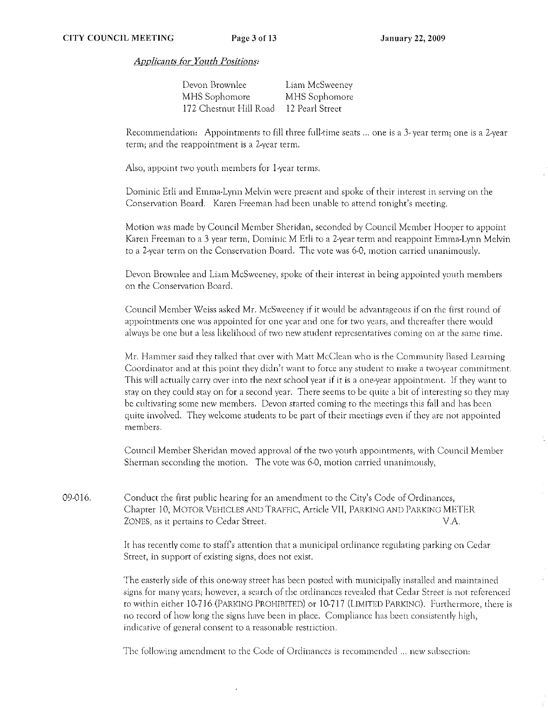*Appiicil11tS {oJ' Youtb Positions:* 

| Devon Brownlee         | Liam McSweeney  |
|------------------------|-----------------|
| MHS Sophomore          | MHS Sophomore   |
| 172 Chestnut Hill Road | 12 Pearl Street |

Recommendation: Appointments to fill three full-time seats ... one is a 3-year term; one is a 2-year term; and the reappointment is a 2-year term.

Also, appoint two youth members for I-year terms.

Dominic Edi and Emma,Lynn Melvin were present and spoke of their interest in serving on the Conservation Board. Karen Freeman had been unable to attend tonight's meeting.

Motion was made by Council Member Sheridan, seconded by Council Member I-looper to appoint Karen Freeman to a 3 year term. Dominic M Etli to a 2-year term and reappoint Emma-Lynn Melvin to a 2-year term on the Conservation Board. The vote was 6-0, motion carried unanimously.

Devon Brownlee and Uam McSweeney) spoke of their interest in being appointed youth members on the Conservation Board.

Council Mernber Weiss asked Mr. McSweeney if it would be advantageous if on the first round of appointments one was appointed for one year and one for two years, and thereafter there would always be one but a less likelihood of two new student representatives coming on at the same time.

Mr. Hammer said they talked that over with Matt McClean who is the Community Based Learning Coordinator and at this point they didn't want to force any student to make a two-year commitment. This will actually carry over into the next school year if it is a one-year appointment. If they want to stay on they could stay on for a second year. There seems to be quite a bit of interesting so they may be cultivating some new members, Devon started coming to the rnectings this fall and has been quite involved. They welcome students to be part of their meetings even if they arc nor appointed members.

Council Member Sheridan moved approval of the two youth appointments, with Council Member Sherman seconding the motion. The vote was 6-0, motion carried unanimously,

09-016. Conduct the first public hearing for an amendment to the City's Code of Ordinances, Chapter 10, MOTOR VEHICLES AND TRAFFIC, Article Vll, PARKING AND PARKING METER ZONES, as it pertains to Cedar Street. The contract of the contract of the V.A.

> It has recently come to staffs attention that a municipal ordinance regulating parking on Cedar Street, in support of existing signs, does not exist.

The easterly side of this one-way street has been posted with municipally installed and maintained signs for many years; however, a search of the ordinances revealed that Cedar Street is not referenced to within either 10-716 (PARKING PROHIBITED) or 10-717 (LIMITED PARKING). Furthermore, there is no record of how long the signs have been in place. Compliance has been consistently high, indicative of general consent to a reasonable restriction.

The following amendment to the Code of Ordinances is recommended ... new subsection: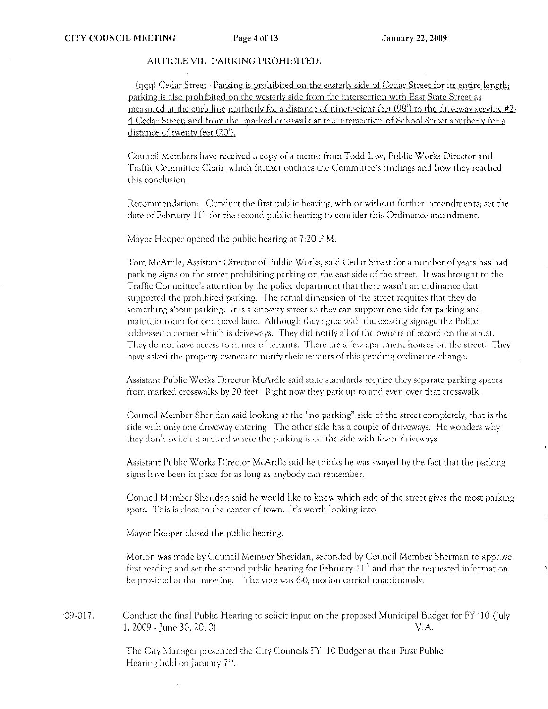## ARTICLE VII. PARKING PROHIBITED.

(ggo) Cedar Street - Parking is prohibited on the easterly side of Cedar Street for irs entire length; parking is also prohibited on the westerly side from the intersection with East State Street as measured at the curb line northerly for a distance of ninety-eight feet  $(98')$  to the driveway serving #2-4 Cedar Street; and from the marked crosswalk at the intersection of School Street southerly for a distance of twenty feet (20').

Council Members have received a copy of a memo from Todd Law, Public Works Director and Traffic Committee Chair, which further outlines the Committee's findings and how they reached this conclusion.

Recommendation: Conduct the first public hearing, with or without further amendments; set the date of February  $11^{th}$  for the second public hearing to consider this Ordinance amendment.

Mayor Hooper opened the public hearing at 7;20 P.M.

Tom McArdle, Assistant Director of Public Works, said Cedar Street for a number of years has had parking signs on the street prohibiting parking on the cast side of the street. It was brought to the Traffic Committee's attention by the police department that there wasn't an ordinance that supported the prohibited parking. The actual dirnension of the street requires that they do something about parking. It is a one-way street so they can support one side for parking and maintain room for one travel lane. Although they agree with the existing signage the Police addressed a corner which is driveways. They did notify aU of the owners of record on the street. They do not have access to names of tenants. There are a few apartment houses on the street. They have asked the property owners to notify their tenants of this pending ordinance change.

Assistant Public Works Director McArdle said state standards require they separate parking spaces from marked crosswalks by 20 feet. Right now they park up to and even over that crosswalk.

Council Member Sheridan said looking at the "no parking" side of the street completely, that is the side with only one driveway entering. The other side has a couple of driveways. He wonders why they don't switch it around where the parking is on the side with fewer driveways.

Assistant Public Works Directot McArdle said he thinks he was swayed by the fact that the parking signs have been in place for as long as anybody can remember.

Council Member Sheridan said he would like to know which side of the street gives the most parking spots. This is close to the center of town. It's worrh looking into.

Mayor Hooper closed the public hearing.

Motion was made by Council Member Sheridan, seconded by Council Member Sherman to approve first reading and set the second public hearing for February  $11<sup>th</sup>$  and that the requested information be provided at that meeting. The vote was 6-0, motion carried unanimously.

 $09-017$ . Conduct the final Public Hearing to solicit input on the proposed Municipal Budget for FY '10 (July 1, 2009 - June 30, 2010). V.A.

> The City Manager presented the City Councils FY '10 Budget at their First Public Hearing held on January  $7<sup>th</sup>$ .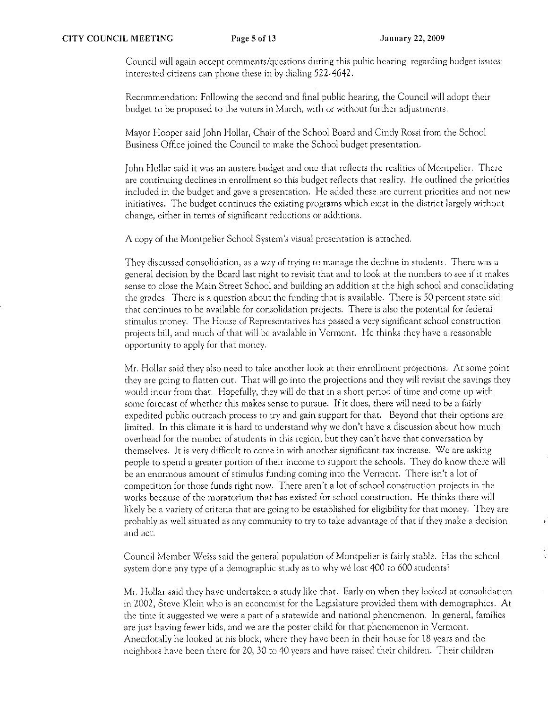Council will again accept comments/questions during this pubic hearing regarding budget issues; interested citizens can phone these in by dialing 522-4642.

Recommendation: Following the second and final public hearing, the Council will adopt their budget to *be* proposed to the voters in March, with or without further adjustments.

Mayor Hooper said John Hollar, Chair of the School Board and Cindy Rossi from the School Business Office joined the Council to make the School budget presentation.

John Hollar said it was an austere budget and one that reflects the realities of Montpelier. There arc continuing declines in enrollment so this budget reflects that reality. He outlined the priorities included in the budget and gave a presentation. He added these are current priorities and not new initiatives. The budget continues the existing programs which *exist* in the district largely without change, either in terms of significant reductions or additions.

A copy of the Montpelier School System's visual presentation is attached.

**They discussed consolidation! as a way of trying to manage the decline in students. There was** a general decision by the Board last night to revisit that and to look at the numbers to *see* if it makes sense to *close* the Main Street School and building an addition at the high school and consolidating the grades. There is a question about the funding that is available. There is 50 percent state aid that continues to *be* available for consolidation projects. There is also the potential for federal stimulus money. The House of Representatives has passed a very significant school construction projects bill, and much of that will be available in Vermont. He thinks they have a reasonable **opportunity to apply for that money.** 

Mr. Hollar said they also need to take another look at their enrollment projections. At some point they are going to flatten out. That will go into the projections and they will revisit the savings they would incur from that. Hopefully, they will do that in a short period of time and come up with some forecast of whether this makes sense to pursue. If it docs, there will need to be a fairly expedited public outreach process to try and gain support for that. Beyond that their options arc limited. In this climate it is hard to understand why we don't have a discussion about how much overhead for the number of students in this region, but they can't have that conversation by **themselves. It is very difficult to corne in with another significant tax increase. We are asking**  people to spend a greater portion of their income to support the schools. They do know there will be an enormous amount of stimulus funding coming into the Vermont. There isn't a lot of competition for those funds right now. There aren't a lot of school construction projects in the works because of the moratorium that has existed for school construction. He thinks there will likely be a variety of criteria that are going to be established for eligibility for that money. They arc probably as well situated as any community to try to take advantage of that if they make a decision **and act.** 

Council Member Weiss said the general population of Montpelier is fairly stable. Has the school system done any type of a demographic study as to why we lost 400 to 600 students?

Mr. Hollar said they have undertaken a study like that. Early on when they looked at consolidation in 2002, Steve Klein who is an economist for the Legislature provided them with demographics. At **the time it suggested we were a part of a statewide and national phenomenon. In general, fatnilies**  are just having fewer kids, and we arc the poster child for that phenomenon in Vermont. Anecdotally he looked at his block, where they have been in their house for 18 years and the neighbors have been there for 20, 30 to 40 years and have raised their children. Their children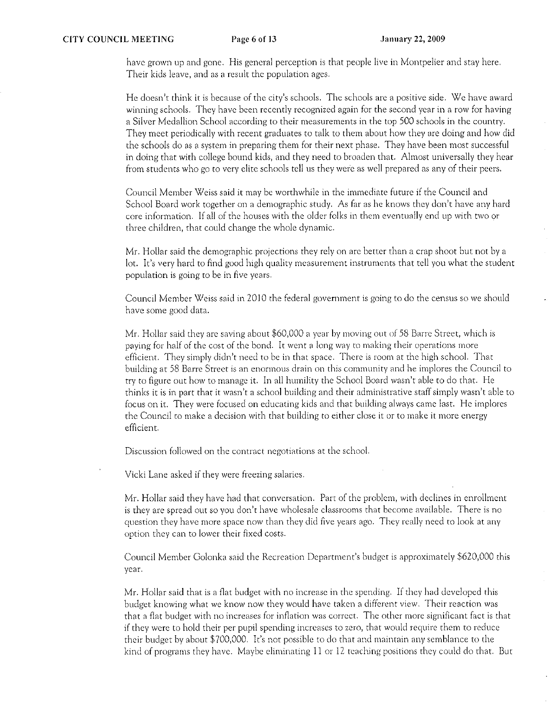have grown up and gone, His general perception is that people live in Montpelier and stay here. Their kids leave, and as a result the population ages.

He doesn't think it is because of the city's schools. The schools arc a positive side. We have award winning schools. They have been recently recognized again for the second year in a row for having a Silver Medallion School according to their measurements in the top 500 schools in the country. They meet periodically with recent graduates to talk to them about how they are doing and how did the schools do as a system in preparing them for their next phase. They have been most successful in doing that with college bound kids, and they need to broaden that. Almost universally they hear from students who go to very elite schools tell us they wet'e as *well* prepared as any of their peers.

Council Member Weiss said it may be worthwhile in the immediate future if the Council and School Board work together on a demographic study. As far as he knows they don't have any hard core information. If all of the houses with the older folks in them eventually end up with two or three children, that could change the whole dynamic.

Mr. Hollar said the demographic projections they rely on are better than a crap shoot but not by a lot. It's very hard to find good high quality measurement instruments that tell you what the student population is going to be in five years.

Council Member Weiss said in 2010 the federal government is going to do the census so *we* should have some good data,

Mr. Hollar said they arc saving about \$60,000 a year by moving out of 58 Barre Street, which is paying for half of the cost of the bond. It went a long way to making their operations more efficient. They simply didn't need to be in that space. There is room at the high school. That building at 58 Barre Street is an enormous drain on this comrnunity and he implores the Council to try to figure out how to manage it. In all humility the School Board wasn't able to do that. He thinks it is in part that it wasn't a school building and their administrative staff simply wasn't able to focus on it. They were focused on educating kids and that building always came last. He implores the Council to make a decision with that building to either close it or to make it more energy efficient.

Discussion followed on the contract negotiations at the school.

Vicki Lane asked if they were freezing salaries.

Mr. Hollar said they have had that conversation. Part of the problem, with declines in enrollment is they are spread out so you don't have wholesale classrooms that become available. There is no question they have more space now than they did five years ago. They really need to look at any option they can to lower their fixed costs.

Council Member Golonka said the Recreation Department's budget is approximately \$620,000 this year.

Mr. Hollar said that is a flat budget with no increase in the spending. If they had developed this budget knowing what we know now they would have taken a different view. Their reaction was that a flat budget with no increases for inflation was correct. The other more significant fact is that if they were to hold their per pupil spending increases to zero, that would require them to reduce their budget by about \$700,000. It's not possible to do that and maintain any semblance to the kind of programs they have. Maybe eliminating II or 12 teaching positions they could do that. But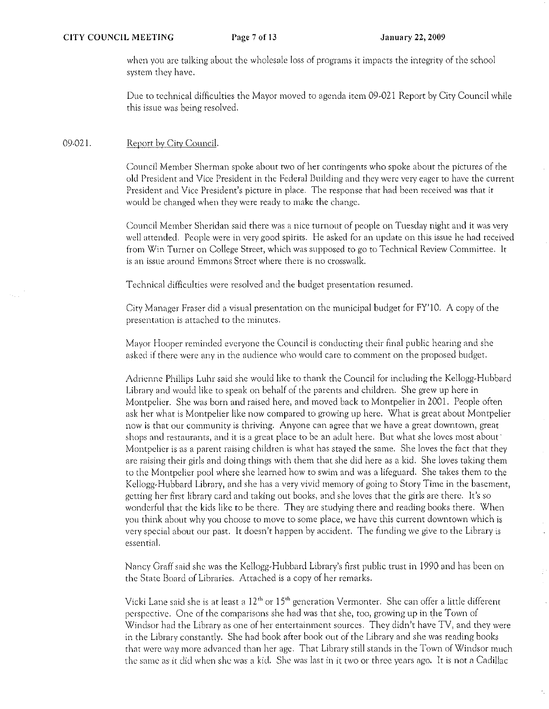when you are talking about the wholesale loss of programs it impacts the integrity of the school system they have.

Due to technical difficulties the Mayor moved to agenda item 09·021 Report by City Council while this issue was being resolved.

#### 09·021. Report by City Council.

Council Member Sherman spoke about two of her contingents who spoke about the pictures of the old President and Vice President in the Federal Building and they were very eager to have the current President and Vice President's picture in place. The response that had been received was that it would be changed when they were ready to make the change.

Council Member Sheridan said there was a nice turnout of people on Tuesday night and it was very well attended. People were in very good spirits. He asked for an update on this issue he had received from Win Turner on College Street, which was supposed to go to Technical Review Committee. It is an issue around Emmons Street where there is no crosswalk.

Technical difficulties were resolved and the budget presentation resumed.

City Manager Fraser did a visual presentation on the municipal budget for FY'10. A copy of the presentation is attached to the minutes.

Mayor Hooper reminded everyone the Council is conducting their final public hearing and she asked if there were any in the audience who would carc to comment on the proposed budget.

Adrienne Phillips Luhr said she would like to thank the Council for including the Kellogg.Hubbard Library and would like to speak on behalf of the parents and children. She grew up here in Montpelier. She was born and raised here, and moved back to Montpelier in 2001. People often ask her what is Montpelier like now compared to growing up here. What is great about Montpelier now is that our community is thriving. Anyone can agree that we have a great downtown, great shops and restaurants, and it is a great place to be an adult here. But what she loves most about Montpelier is as a parent raising children is what has stayed the same. She loves the fact that they are raising their girls and doing things with them that she did here as a kid. She loves taking them to the Montpelier pool where she learned how to swim and was a lifeguard. She takes them to the Kellogg.Hubbard Library, and she has a very vivid memory of going to Story Time in the basement, getting her first library card and taking out books, and she loves that the girls are there. It's so wonderful that the kids like to be there. They are studying there and reading books there. When you think about why you choose to move to some place, we have this current downtown which is very special about our past. It doesn't happen by aCCident. The funding we give to the Library is essential,

Nancy Graff said she was the Kellogg.Hubbard Library's first public trust in 1990 and has been on the State Board of Libraries. Attached is a copy of her remarks.

Vicki Lane said she is at least a  $12<sup>th</sup>$  or  $15<sup>th</sup>$  generation Vermonter. She can offer a little different perspective. One of the comparisons she had was that she, too, growing up in the Town of Windsor had the Library as one of her entertainment sources. They didn't have TV, and they were in the Library constantly. She had book after book Out of the Library and she was reading books that were way more advanced than her age. That Library still stands in the Town of Windsor much the same as it did when she was a kid. She was last in it two or three years ago. It is not a Cadillac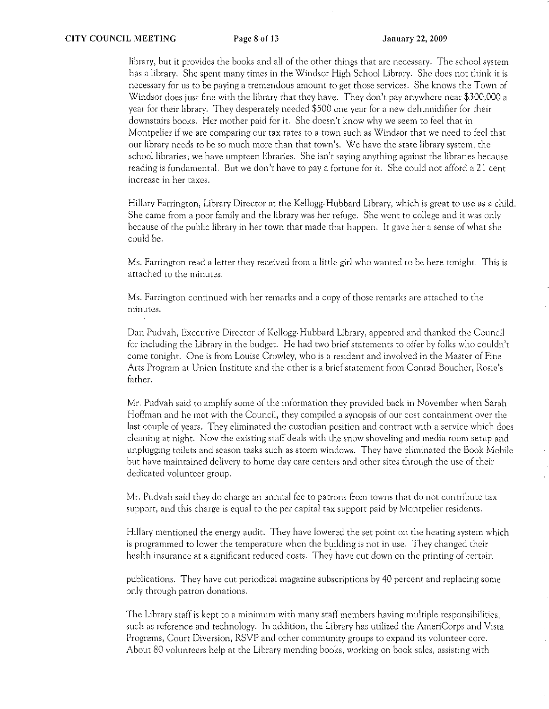library, but it provides the books and all of the other things that are necessary. The school system has a library. She spent many times in the Windsor High School Library. She does not think it is necessary for us to be paying a tremendous arnount to get those services. She knows the Town of Windsor does just fine with the library that they have. They don't pay anywhere near \$300,000 a year for their library. They desperately needed \$500 one year for a new dehumidifier for their downstairs books. Her mother paid for it. She doesn't know why we seem to feci that in Montpelier if we arc comparing our tax rates to a town such as Windsor that we need to feel that our library needs to be so much more than that town's. We have the state library system, the school libraries; we have umpteen libraries. She isn't saying anything against the libraries because reading is fundamental. But we don't have to pay a fortune for it. She could not afford a 21 cent increase **in** her taxes,

Hillary Farrington, Library Director at the Kellogg-Hubbard Library, which is great to use as a child. She came from a poor family and the library was her refuge. She went to college and it was only because of the public library in her town that made that happen. It gave her a sense of what she could be.

Ms. Farrington read a letter they received from a little girl who wanted to be here tonight. This is attached to the minutes.

Ms, Farrington continued with her remarks and a copy of those remarks are attached to the minutes.

Dan Pudvah, Executive Director of Kellogg-Hubbard Library, appeared and thanked the Council for including the Library in the budget. He had two brief statements to offer by folks who couldn't come tonight. One is from Louise Crowley, who is a resident and involved in the Master of Fine Arts Program at Union Institute and the other is a brief statement from Conrad Boucher, Rosie's father.

Mr. Fudvah said to amplify some of the information they provided back in November when Sarah Hoffman and he met with the Council, they compiled a synopsis of our cost containment over the last couple of years. They eliminated the custodian position and contract with a service which docs cleaning at night. Now the existing staff deals with the snow shoveling and media roorn setup and unplugging toilets and season tasks such as storm windows. They have eliminated the Book Mobile but havc maintained delivery to home day care centers and other sites through the use of their dedicated volunteer group.

Mr. Pudvah said they do charge an annual fee to patrons from towns that do not contribute tax support, and this charge is equal to the per capital tax support paid by Montpelier residents.

Hillary mentioned the energy audit. They have lowered the set point on the heating system which is programmed to lower the temperature when the building is not in use. They changed their health insurance at a significant reduced costs. They have cut down on the printing of certain

publications. They have cut periodical magazine subscriptions by 40 petcent and replacing some only through patron donations.

The Library staff is kept to a minimum with many staff members having multiple responsibilities, such as reference and technology. In addition, the Library has utilized the AmeriCorps and Vista Programs, Court Diversion, RSVP and other comrnunity groups to expand its volunteer core. About 80 volunteers help at the Library mending books, working on book sales, assisting with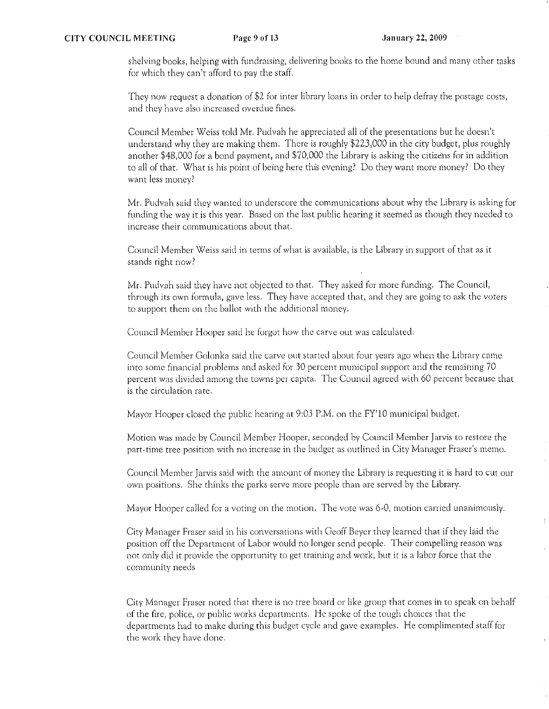shelving books, helping with fundraising, delivering books to the home bound and many other tasks for which they can't afford to pay the staff.

They now request a donation of \$2 for inter library loans in order to help defray the postage costs, and they have also increased overdue fines.

Council Member Weiss told Mr. Pudvah he appreciated all of the presentations but he doesn't understand why they arc making them. There is roughly \$223,000 in the city budget, plus roughly another \$48,000 for a bond payment, and \$70,000 the Library is asking the citizens for in addition to all of that. What is his point of being here this evening? Do they want more money? Do they want less money?

Mr. Pudvah said they wanted to underscore the communications about why the Library is asking for funding the way it is this year. Based on the last public hearing it seemed as though they needed to increase their communications about that.

Council Member Weiss said in terms of what is available, is the Library in support of that as it stands right now?

Mr. Pudvah said they have not objected to that. They asked for more funding. The Council, through its own formula, gave less. They have accepted that, and they are going to ask the voters to support them on the ballot with the additional money.

Council Member Hooper said he forgot how the carve out was calculated.

Council Member Golonka said the carve out started about four years ago when the Library came into some financial problems and asked for 30 percent municipal support and the remaining 70 percent was divided among the towns per capita. The Council agreed with 60 percent because that is the circulation rate.

Mayor Hooper closed the public hearing at 9:03 P.M. on the FY'lO municipal budget.

Motion was made by Council Member Hooper, seconded by Council Member Jarvis to restore the part~tirne tree position with no increase in the budget as outlined in City Manager Fraser's merno.

Council Member Jarvis said with the amount of money the Library is requesting it is hard to cut our own positions. She thinks the parks serve more people than are served by the Library.

Mayor Hooper called for a voting on the motion. The vote was 6-0, motion carried unanimously.

City Manager Fraser said in his conversations with Geoff Beyer they learned that if they laid the position off the Department of Labor would no longer send people. Their compelling reason was not only did it provide the opportunity to get training and work, but it is a labor force that the community needs

City Manager Fraser noted that there is no tree board or like group that comes in to speak on behalf of the fire, police, or public works departments. He spoke of the tough choices that the departments had to make during this budget cycle and gave examples. He complimented staff for the work they have done.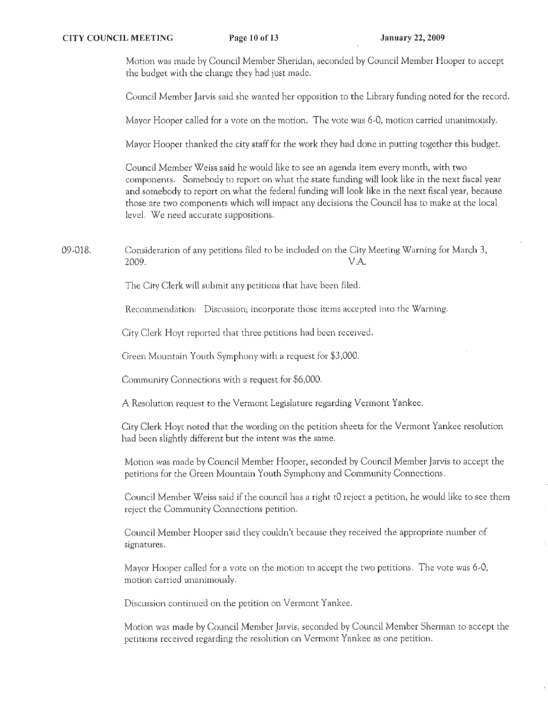Motion was made by Council Member Sheridan, seconded by Council Member Hooper to accept the budget with the change they had just made.

Council Member Jarvis said she wanted her opposition to the Library funding noted for the record.

Mayor Hooper called for a vote on the motion. The vote was 6-0, motion carried unanimously.

Mayor Hooper thanked the city staff for the work they had done in putting together this budget.

Council Member Weiss said he would like to see an agenda item every month, with two components. Somebody to report on what the state funding will look like in the next fiscal year and somebody to report on what the federal funding will look like in the next fiscal year, because those are two components which will impact any decisions the Council has to make at the local level. We need accurate suppositions.

09-018. Consideration of any petitions filed to be included on the City Meeting Warning for March 3, 2009. V.A.

The City Clerk will submit any petitions rhat have been filed.

Recommendation: Discussion; incorporate those items accepted into the Warning.

City Clerk Hoyt reported that three petitions had been received.

Green Mountain Youth Symphony with a request for \$3,000.

Community Connections with a request for \$6,000.

A Resolution request to the Vermont Legislature regarding Vermont Yankee,

City Clerk Hoyt noted that the wording on the petition sheets for the Vermont Yankee resolution had been slightly different but the intent was the same.

Motion was made by Council Member Hooper, seconded by Council Member Jarvis to accept the petitions for the Green Mountain Youth Symphony and Community Connections.

Council Member Weiss said if the council has a right t0 reject a petition, he would like to see them reject the Community Connections petition.

Council Member Hooper said they couldn't because they received the appropriate number of signatures.

Mayor Hooper called for a vote on the motion to accept the two petitions. The vote was 6-0, motion carried unanimously.

Discussion continued on the petition on Vermont Yankee,

Motion was made by Council Member Jarvis, seconded by Council Member Sherman to accept the petitions received regarding the resolution on Vennont Yankee as one petition.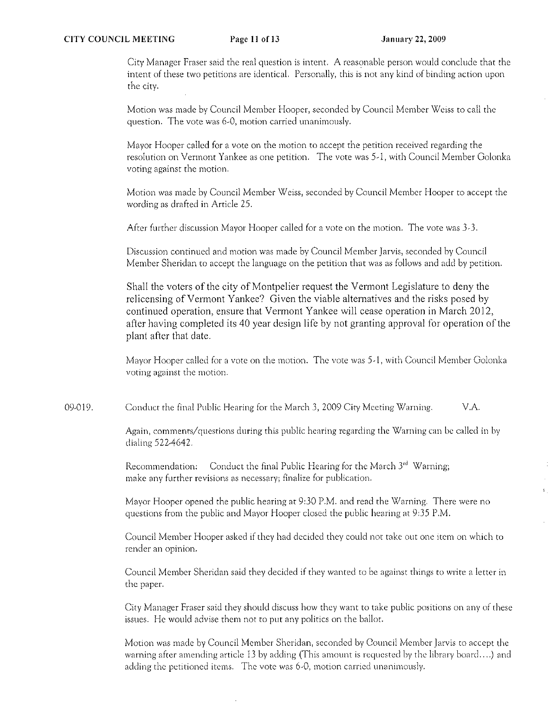## **CITY COUNCIL MEETING** Page 11 of 13 January 22, 2009

City Manager Fraser said the real question is intent. A reasonable person would conclude that the intent of these two petitions are identical. Personally, this is not any kind of binding action upon the city.

Motion was made by Council Member Hooper, seconded by Council Member Weiss to call the **question. The vote was 6,0, motion carried unanimously.** 

Mayor Hooper called for a vote on the motion to accept the petition received regarding the resolution on Vermont Yankee as one petition. The vote was 5-1, with Council Member Golonka **voting against the motion.** 

Motion was made by Council Member Weiss, seconded by Council Member Hooper to accept the wording as drafted in Article 25.

After further discussion Mayor Hooper called for a vote on the motion. The vote was 3-3.

**Discllssion continued and 111otion was rnade by Council Mernber Jarvis, seconded by Council**  Member Sheridan to accept the language on the petition that was as follows and add by petition.

Shall the voters of the city of Montpelier request the Vermont Legislature to deny the relicensing of Vermont Yankee? Given the viable alternatives and the risks posed by continued operation, ensure that Vermont Yankee will cease operation in March 2012, after having completed its 40 year design life by not granting approval for operation of the plant after that date.

Mayor Hooper called for a vote on the motion. The vote was 5-1, with Council Member Golonka **voting against the motion.** 

09-019. Conduct the final Public Hearing for the March 3, 2009 City Meeting Warning.  $V.A.$ 

> **Again) comments/questions during this public hearing regarding the Warning can be called in by**  dialing 522-4642.

Recommendation: Conduct the final Public Hearing for the March 3<sup>rd</sup> Warning; **rnakc any further revisions as necessary; finalize for publication.** 

Mayor Hooper opened the public hearing at 9:30 P.M. and read the Warning. There were no questions from the public and Mayor Hooper closed the public hearing at 9:35 P.M.

Council Member Hooper asked if they had decided they could not take out one item on which to **render an opinion.** 

Council Member Sheridan said they decided if they wantcd to be against things to write a letter in the paper.

City Manager Fraser said they should discuss how they want to take public positions on any of these issues. He would advise them not to put any politics on the ballot.

Motion was made by Council Member Sheridan, seconded by Council Member Jarvis to accept the warning after amending article 13 by adding (This amount is requested by the library board....) and **adding the petitioned items. The vote was** 6~O) **motion carried unanimously.**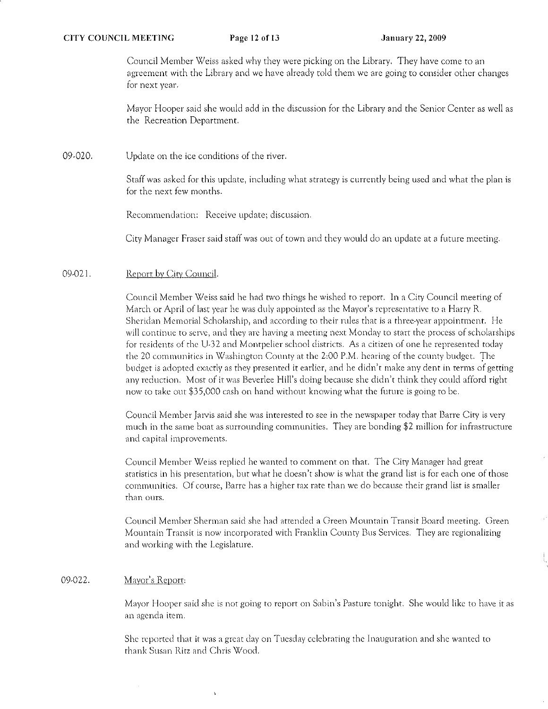Council Member Weiss asked why they were picking on the Library. They have come to an agreement with the Library and we have already told them we are going to consider other changes for next year.

Mayor Hooper said she would add in the discussion for the Library and the Senior Center as well as the Recreation Department.

09·020. Update on the ice conditions of the river.

> Staff was asked for this update, including what strategy is currently being used and what the plan is for the next few months.

Recommendation: Receive update; discussion.

City Manager Fraser said staff was out of town and they would do an update at a future meeting.

### 09·021. Report by City Council.

Council Member Weiss said he had two things he wished to report. In a City Council meeting of March or April of last year he was duly appointed as the Mayor's representative to a Harry R. Sheridan Memorial Scholarship, and according to their rules that is a three-year appointment. He will continue to serve, and they are having a meeting next Monday to start the process of scholarships for residents of the U-32 and Montpelier school districts. As a citizen of one he represented today the 20 communities in Washington County at the 2:00 P.M. hearing of the county budget. The budget is adopted exactly as they presented it earlier, and he didn't make any dent in terms of getting any reduction. Most of it was Beverlee Hill's doing because she didn't think they could afford right now to take out \$35,000 cash on hand without knowing what the future is going to be.

Council Member Jarvis said she was interested to see in the newspaper today that Barre City is very much in thc same boat as surrounding comrnunities. They are bonding \$2 million for infrastructure and capital improvements.

Council Member Weiss replied he wanted to comment on that. The City Manager had great statistics in his presentation, but what he doesn't show is what the grand list is for each one of those communities. Of course, Barre has a higher tax rate than we do because their grand list is smaller than ours.

Council Member Sherman said she had attended a Oreen Mountain Transit Board meeting. Green Mountain Transit is now incorporated with Franklin County Bus Services. They are regionalizing and working with the Legislature.

### 09·022. Mayor's Report:

Mayor Hooper said she is not going to report on Sabin's Pasture tonight. She would like to have it as an agenda item.

She reported that it was a great day on Tuesday celebrating the Inauguration and she wanted to r-hank Susan Ritz and Chris Wood.